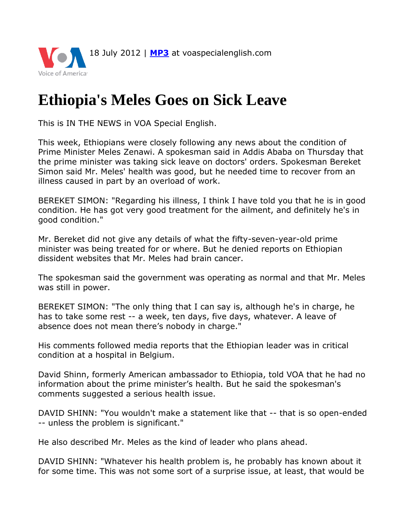

## **Ethiopia's Meles Goes on Sick Leave**

This is IN THE NEWS in VOA Special English.

This week, Ethiopians were closely following any news about the condition of Prime Minister Meles Zenawi. A spokesman said in Addis Ababa on Thursday that the prime minister was taking sick leave on doctors' orders. Spokesman Bereket Simon said Mr. Meles' health was good, but he needed time to recover from an illness caused in part by an overload of work.

BEREKET SIMON: "Regarding his illness, I think I have told you that he is in good condition. He has got very good treatment for the ailment, and definitely he's in good condition."

Mr. Bereket did not give any details of what the fifty-seven-year-old prime minister was being treated for or where. But he denied reports on Ethiopian dissident websites that Mr. Meles had brain cancer.

The spokesman said the government was operating as normal and that Mr. Meles was still in power.

BEREKET SIMON: "The only thing that I can say is, although he's in charge, he has to take some rest -- a week, ten days, five days, whatever. A leave of absence does not mean there's nobody in charge."

His comments followed media reports that the Ethiopian leader was in critical condition at a hospital in Belgium.

David Shinn, formerly American ambassador to Ethiopia, told VOA that he had no information about the prime minister's health. But he said the spokesman's comments suggested a serious health issue.

DAVID SHINN: "You wouldn't make a statement like that -- that is so open-ended -- unless the problem is significant."

He also described Mr. Meles as the kind of leader who plans ahead.

DAVID SHINN: "Whatever his health problem is, he probably has known about it for some time. This was not some sort of a surprise issue, at least, that would be